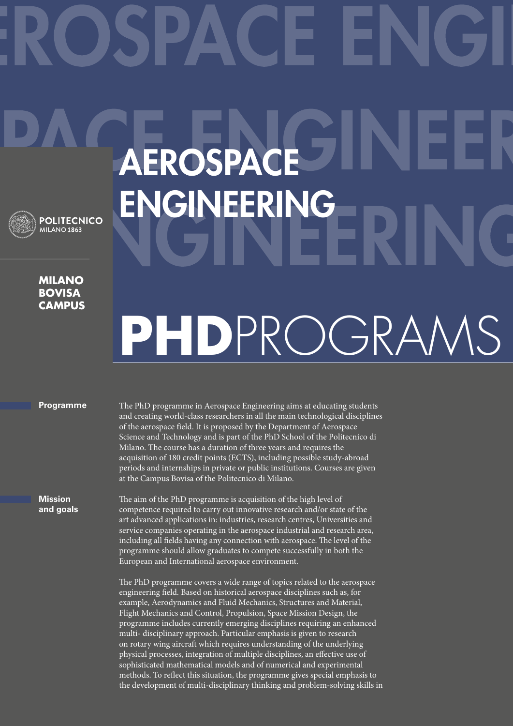## Aerospace **ENGINEERING POLITECNICO** MILANO<sub>1863</sub> **Milano**

**bovisa campus**

## **PhD**ProgramS

## **Programme**

**Mission and goals** The PhD programme in Aerospace Engineering aims at educating students and creating world-class researchers in all the main technological disciplines of the aerospace field. It is proposed by the Department of Aerospace Science and Technology and is part of the PhD School of the Politecnico di Milano. The course has a duration of three years and requires the acquisition of 180 credit points (ECTS), including possible study-abroad periods and internships in private or public institutions. Courses are given at the Campus Bovisa of the Politecnico di Milano.

The aim of the PhD programme is acquisition of the high level of competence required to carry out innovative research and/or state of the art advanced applications in: industries, research centres, Universities and service companies operating in the aerospace industrial and research area, including all fields having any connection with aerospace. The level of the programme should allow graduates to compete successfully in both the European and International aerospace environment.

The PhD programme covers a wide range of topics related to the aerospace engineering field. Based on historical aerospace disciplines such as, for example, Aerodynamics and Fluid Mechanics, Structures and Material, Flight Mechanics and Control, Propulsion, Space Mission Design, the programme includes currently emerging disciplines requiring an enhanced multi- disciplinary approach. Particular emphasis is given to research on rotary wing aircraft which requires understanding of the underlying physical processes, integration of multiple disciplines, an effective use of sophisticated mathematical models and of numerical and experimental methods. To reflect this situation, the programme gives special emphasis to the development of multi-disciplinary thinking and problem-solving skills in